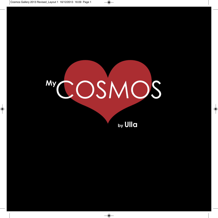

**by Ulla**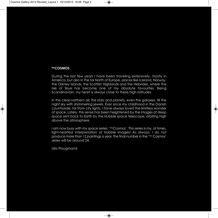## **MyCOSMOS**

During the last few years I have been traveling extensively, mostly in America, but also in the far North of Europe, places like Iceland, Norway, the Orkney Islands, the Scottish Highlands and the Hebrides, where the Isle of Skye has become one of my absolute favourites. Being Scandinavian, my heart is always close to these high latitudes.

In the clear northern air, the stars and planets, even the galaxies, fill the night sky with shimmering jewels. Ever since my childhood in the Danish countryside, far from city lights, I have always loved the limitless wonder of space. Lately, this sense has been heightened by the images of deep space sent back to Earth by the Hubble space telescope, orbiting high above the atmosphere.

I am now busy with my space series: '<sup>My</sup>Cosmos'. This series is my, at times, light-hearted interpretation of Hubble images! As always, I do not produce more than 12 paintings a year. The final number in the 'My Cosmos' series will be around 24.

Ulla Plougmand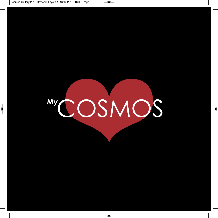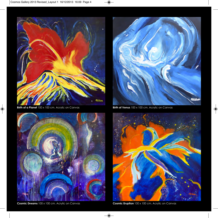





**Birth of a Planet** 100 x 100 cm. Acrylic on Canvas **Birth of Venus** 100 x 100 cm. Acrylic on Canvas



**Cosmic Dreams** 100 x 100 cm. Acrylic on Canvas **Cosmic Eruption** 100 x 100 cm. Acrylic on Canvas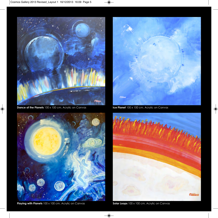

**Dance of the Planets** 100 x 100 cm. Acrylic on Canvas **Ice Planet** 100 x 100 cm. Acrylic on Canvas



**Playing with Planets** 100 x 100 cm. Acrylic on Canvas **Solar Loops** 100 x 100 cm. Acrylic on Canvas



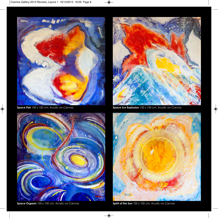



**Space Orgasm** 100 x 100 cm. Acrylic on Canvas **Spirit of the Sun** 100 x 100 cm. Acrylic on Canvas



**Space Fish** 100 x 100 cm. Acrylic on Canvas **Space Ice Explosion** 100 x 100 cm. Acrylic on Canvas

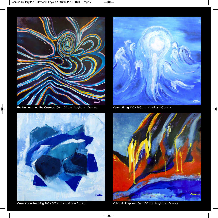

**The Nucleus and the Cosmos** 100 x 100 cm. Acrylic on Canvas **Venus Rising** 100 x 100 cm. Acrylic on Canvas





**Cosmic Ice Breaking** 100 x 100 cm. Acrylic on Canvas **Volcanic Eruption** 100 x 100 cm. Acrylic on Canvas